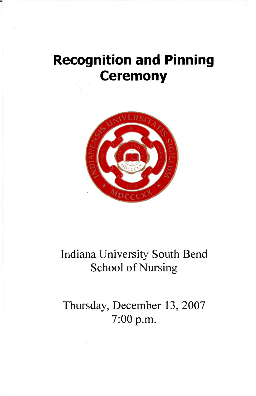# **Recognition and Pinning Ceremony**



## Indiana University South Bend School of Nursing

Thursday, December 13, 2007 7:00 p.m.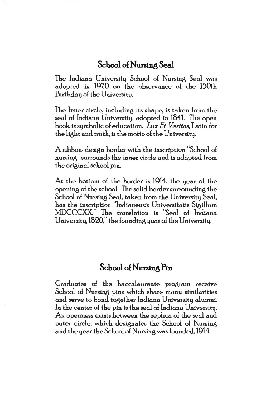#### **School o£ Nursing Seal**

The Indiana University School of Nursing Seal was adopted in 1970 on the observance of the 150th Birthday of the University.

The Inner circle, including its shape, is taken from the seal of Indiana University, adopted in 1841. The open book is symbolic of education. *Lux Et Veritas*, Latin for the light and truth, is the motto of the University.

A ribbon-design border with the inscription "School of nursing" surrounds the inner circle and is adapted from the original school pin.

At the bottom of the border is 1914, the year of the opening of the school. The solid border surrounding the School of Nursing Seal, taken from the University Seal, has the inscription "Indianensis Universitatis Sigillum MDCCCXX" The translation is "Seal of Indiana University, 1820," the founding year of the University.

#### **School o£ Nursing Pin**

Graduates of the baccalaureate program receive School of Nursing pins which share many similarities and serve to bond together Indiana University alumni. In the center of the pin is the seal of Indiana University. An openness exists between the replica of the seal and outer circle, which designates the School of Nursing and the year the School of Nursing was founded, 1914.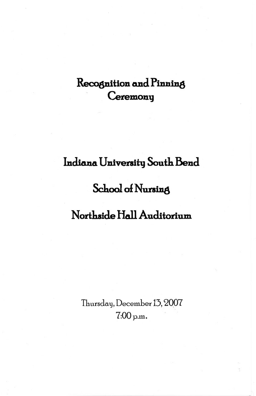## Recognition and Pinning Ceremony

## Indiana University South Bend

## **School of Nursing**

## Northside Hall Auditorium

Thursday, December 13, 2007  $7:00$  p.m.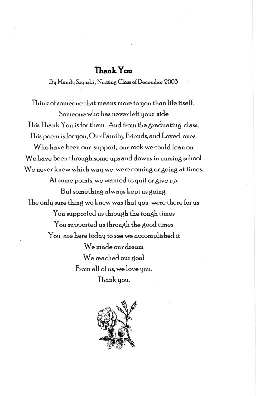#### $\mathsf{Thank}\mathsf{Yom}$

By Mandy Szynski, Nursin8 Class *ol* December '2003

Think of someone that means more to you than life itself. Someone who has never left your side This Thank You is for them. And from the graduating class, This poem is for you, Our Family, Friends, and Loved ones. Who have been our support, our rock we could lean on. We have been through some ups and downs in nursing school We never knew which way we were coming or going at times. At some points, we wanted to quit or give up. But something always kept us going. The only sure thing we knew was that you were there for us You supported us through the tough times You supported us through the good times You are here today to see we accomplished it We made our dream We reached our goal From all of us, we love you. Thank you.

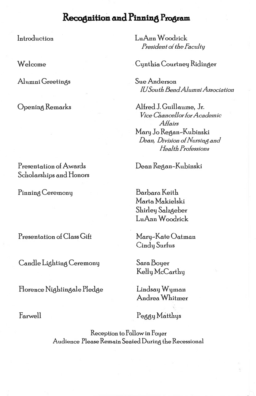### Recognition and Pinning Program

Introduction

Welcome

Alumni Greetings

Opening Remarks

Presentation of Awards Scholarships and Honors

Pinning Ceremony

Presentation of Class Gift

Candle Lighting Ceremony

Florence Nightingale Pledge

Farwell

LuAnn Woodrick President of the Faculty

Cynthia Courtney Ridinger

Sue Anderson **IU South Bend Alumni Association** 

Alfred J. Guillaume, Jr. Vice Chancellor for Academic Attairs Mary Jo Regan-Kubinski Dean, Division of Nursing and Health Professions

Dean Regan-Kubinski

Barbara Keith Marta Makielski Shirley Salzgeber LuAnn Woodrick

Mary-Kate Oatman Cindy Surfus

Sara Boyer Kelly McCarthy

Lindsay Wyman Andrea Whitmer

Peggy Matthys

Reception to Follow in Foyer Audience Please Remain Seated During the Recessional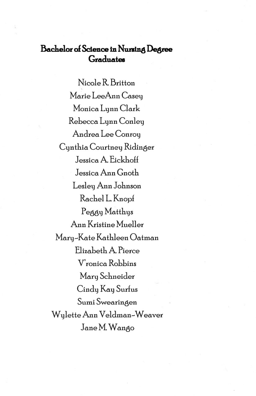#### **Bachelor ol Science in NUlling Degree**  Graduates

Nicole R Britton Marie LeeAnn Casey Monica Lynn Clark Rebecca Lynn Conley Andrea Lee Conroy Cynthia Courtney Ridinger Jessica A EickhoH Jessica Ann Gnoth Lesley Ann Johnson Rachel L. Knopf Peagy Matthys Ann Kristine Mueller Mary-Kate Kathleen Oatman Elizabeth A Pierce V'ronica Robbins Mary Schneider Cindy Kay Surfus Sumi Swearingen W ylette Ann Veldman-Weaver Jane M. Wango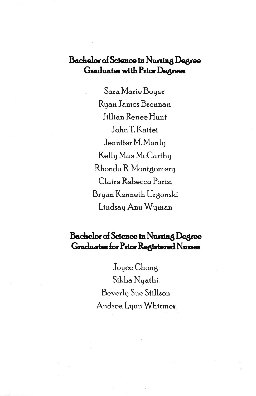### **Bachelor ol Science in Nursin8 Degree Gradwdee with Prior Degrees**

Sara Marie Boyer Ryan James Brennan Jillian Renee Hunt John T. Kaitei Jennifer M. Manly Kelly Mae McCarthy Rhonda R Montaomery Claire Rebecca Parisi Bryan Kenneth Uraonski Lindsay Ann Wyman

### **Bachelor ol Science in Nursin8 Degree Graduates for Prior Registered Nurses**

Joyce Chong Sikha Nyathi Beverly Sue Stillson Andrea Lynn Whitmer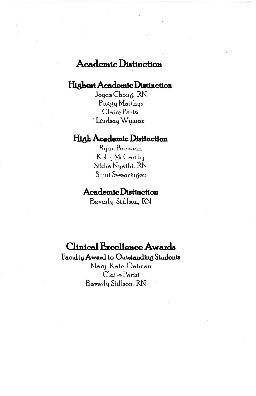### **Academic Distinction**

#### **Highest Academic Distinction**

Joyce Chong, RN Peggy Matthys Claire Parisi Lindsay Wyman

#### **High Academic Distinction**

Ryan Brennan Kelly McCarthy Sikha Nyathi, RN Sumi Swearingen

#### **.Acddemic Diatlnction**

Beverly Stillson, RN

#### **Clinical Excellence Awards**

**Faculbj Award to Outstanding Students**  Mary-Kate Oatman Claire Parisi Beverly Stillson, RN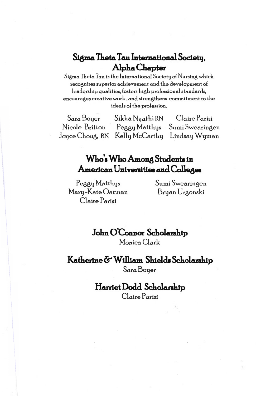### Sigma Theta Tau International Society, Alpha Chapter

Sigma Theta Tau is the International Society of Nursing which recognizes superior achievement and the development of leadership qualities, fosters high professional standards, encourages creative work , and strengthens commitment to the ideals of the profession.

Sara Boyer Sikha Nyathi RN Claire Parisi Peggy Matthys Sumi Swearingen Nicole Britton Joyce Chong, RN Kelly McCarthy Lindsay Wyman

### Who's Who Among Students in American Universities and Colleges

Peggy Matthys Mary-Kate Oatman Claire Parisi

Sumi Swearingen Bryan Urgonski

John O'Connor Scholarship Monica Clark

Katherine & William Shields Scholarship Sara Boyer

### Harriet Dodd Scholarship

Claire Parisi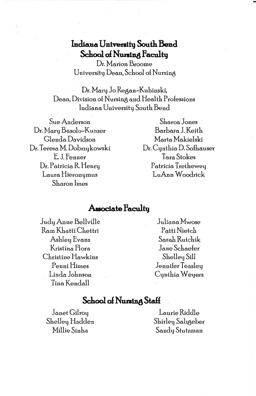### Indiana University South Bend **School of Nursing Faculty**

Dr. Marion Broome University Dean, School of Nursing

Dr. Mary Jo Regan-Kubinski, Dean, Division of Nursing and Health Professions Indiana University South Bend

Sue Anderson Dr. Mary Basolo-Kunzer Glenda Davidson Dr. Teresa M. Dobrzykowski E J. Fenner Dr. Patricia R. Henry Laura Hieronymus Sharon hnes

Sharon Jones Barbara J. Keith Marta Makielski Dr. Cynthia D. Sofhauser Tara Stokes Patricia Trethewey LuAnn Woodrick

#### **A.soctate Facultg**

Judy Anne Bellville Ram Khatti Chettri Ashley Evans Kristina flora Christine Hawkins Penni Himes Linda Johnson Tina Kendall

Juliana Mwose Patti Nietch Sarah Rutchik Jane Schaefer Shelley Sill Jennifer Teasley Cynthia Weyers

#### **School of Nursing Staff**

Janet Gilroy Shelley Hadden Millie Sinha

Laurie Riddle Shirley Salzgeber Sandy Stutzman